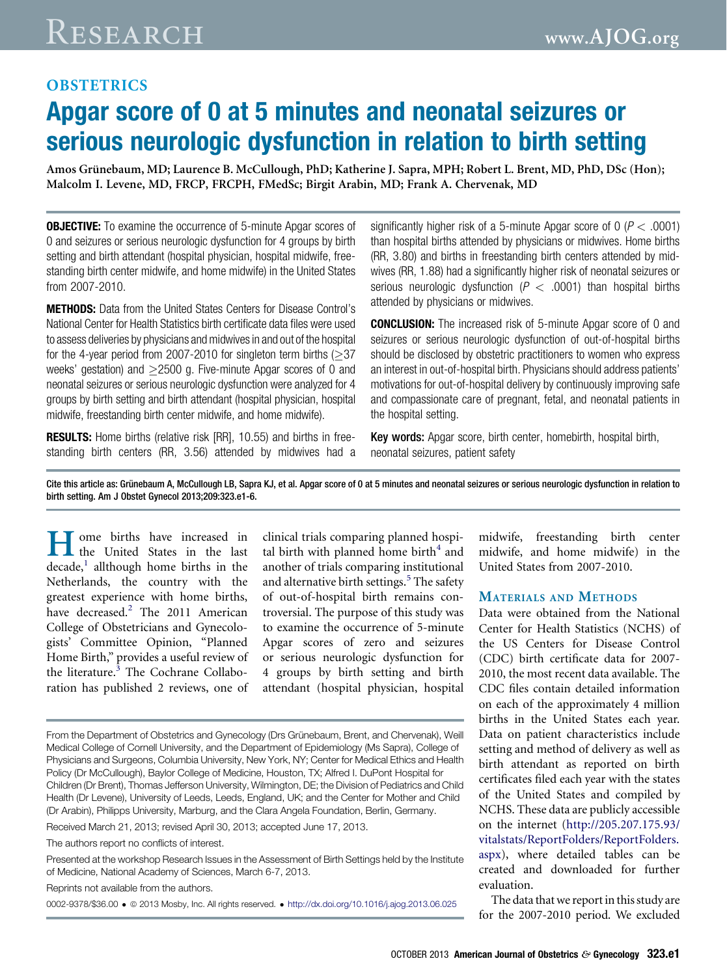## **OBSTETRICS**

# Apgar score of 0 at 5 minutes and neonatal seizures or serious neurologic dysfunction in relation to birth setting

Amos Grünebaum, MD; Laurence B. McCullough, PhD; Katherine J. Sapra, MPH; Robert L. Brent, MD, PhD, DSc (Hon); Malcolm I. Levene, MD, FRCP, FRCPH, FMedSc; Birgit Arabin, MD; Frank A. Chervenak, MD

**OBJECTIVE:** To examine the occurrence of 5-minute Apgar scores of 0 and seizures or serious neurologic dysfunction for 4 groups by birth setting and birth attendant (hospital physician, hospital midwife, freestanding birth center midwife, and home midwife) in the United States from 2007-2010.

METHODS: Data from the United States Centers for Disease Control's National Center for Health Statistics birth certificate data files were used to assess deliveries by physicians and midwives in and out of the hospital for the 4-year period from 2007-2010 for singleton term births  $(>37$ weeks' gestation) and  $\geq$ 2500 g. Five-minute Apgar scores of 0 and neonatal seizures or serious neurologic dysfunction were analyzed for 4 groups by birth setting and birth attendant (hospital physician, hospital midwife, freestanding birth center midwife, and home midwife).

**RESULTS:** Home births (relative risk [RR], 10.55) and births in freestanding birth centers (RR, 3.56) attended by midwives had a significantly higher risk of a 5-minute Apgar score of  $0 (P < .0001)$ than hospital births attended by physicians or midwives. Home births (RR, 3.80) and births in freestanding birth centers attended by midwives (RR, 1.88) had a significantly higher risk of neonatal seizures or serious neurologic dysfunction ( $P < .0001$ ) than hospital births attended by physicians or midwives.

**CONCLUSION:** The increased risk of 5-minute Apgar score of 0 and seizures or serious neurologic dysfunction of out-of-hospital births should be disclosed by obstetric practitioners to women who express an interest in out-of-hospital birth. Physicians should address patients' motivations for out-of-hospital delivery by continuously improving safe and compassionate care of pregnant, fetal, and neonatal patients in the hospital setting.

Key words: Apgar score, birth center, homebirth, hospital birth, neonatal seizures, patient safety

Cite this article as: Grünebaum A, McCullough LB, Sapra KJ, et al. Apgar score of 0 at 5 minutes and neonatal seizures or serious neurologic dysfunction in relation to birth setting. Am J Obstet Gynecol 2013;209:323.e1-6.

**T** ome births have increased in the United States in the last  $decade$ , allthough home births in the Netherlands, the country with the greatest experience with home births, have decreased.<sup>[2](#page-4-0)</sup> The 2011 American College of Obstetricians and Gynecologists' Committee Opinion, "Planned Home Birth," provides a useful review of the literature.<sup>[3](#page-4-0)</sup> The Cochrane Collaboration has published 2 reviews, one of clinical trials comparing planned hospital birth with planned home birth $4$  and another of trials comparing institutional and alternative birth settings. $5$  The safety of out-of-hospital birth remains controversial. The purpose of this study was to examine the occurrence of 5-minute Apgar scores of zero and seizures or serious neurologic dysfunction for 4 groups by birth setting and birth attendant (hospital physician, hospital

Received March 21, 2013; revised April 30, 2013; accepted June 17, 2013.

The authors report no conflicts of interest.

Presented at the workshop Research Issues in the Assessment of Birth Settings held by the Institute of Medicine, National Academy of Sciences, March 6-7, 2013.

Reprints not available from the authors.

0002-9378/\$36.00 ª 2013 Mosby, Inc. All rights reserved. <http://dx.doi.org/10.1016/j.ajog.2013.06.025>

midwife, freestanding birth center midwife, and home midwife) in the United States from 2007-2010.

#### MATERIALS AND METHODS

Data were obtained from the National Center for Health Statistics (NCHS) of the US Centers for Disease Control (CDC) birth certificate data for 2007- 2010, the most recent data available. The CDC files contain detailed information on each of the approximately 4 million births in the United States each year. Data on patient characteristics include setting and method of delivery as well as birth attendant as reported on birth certificates filed each year with the states of the United States and compiled by NCHS. These data are publicly accessible on the internet [\(http://205.207.175.93/](http://205.207.175.93/vitalstats/ReportFolders/ReportFolders.aspx) [vitalstats/ReportFolders/ReportFolders.](http://205.207.175.93/vitalstats/ReportFolders/ReportFolders.aspx) [aspx](http://205.207.175.93/vitalstats/ReportFolders/ReportFolders.aspx)), where detailed tables can be created and downloaded for further evaluation.

The data that we report in this study are for the 2007-2010 period. We excluded

From the Department of Obstetrics and Gynecology (Drs Grünebaum, Brent, and Chervenak), Weill Medical College of Cornell University, and the Department of Epidemiology (Ms Sapra), College of Physicians and Surgeons, Columbia University, New York, NY; Center for Medical Ethics and Health Policy (Dr McCullough), Baylor College of Medicine, Houston, TX; Alfred I. DuPont Hospital for Children (Dr Brent), Thomas Jefferson University, Wilmington, DE; the Division of Pediatrics and Child Health (Dr Levene), University of Leeds, Leeds, England, UK; and the Center for Mother and Child (Dr Arabin), Philipps University, Marburg, and the Clara Angela Foundation, Berlin, Germany.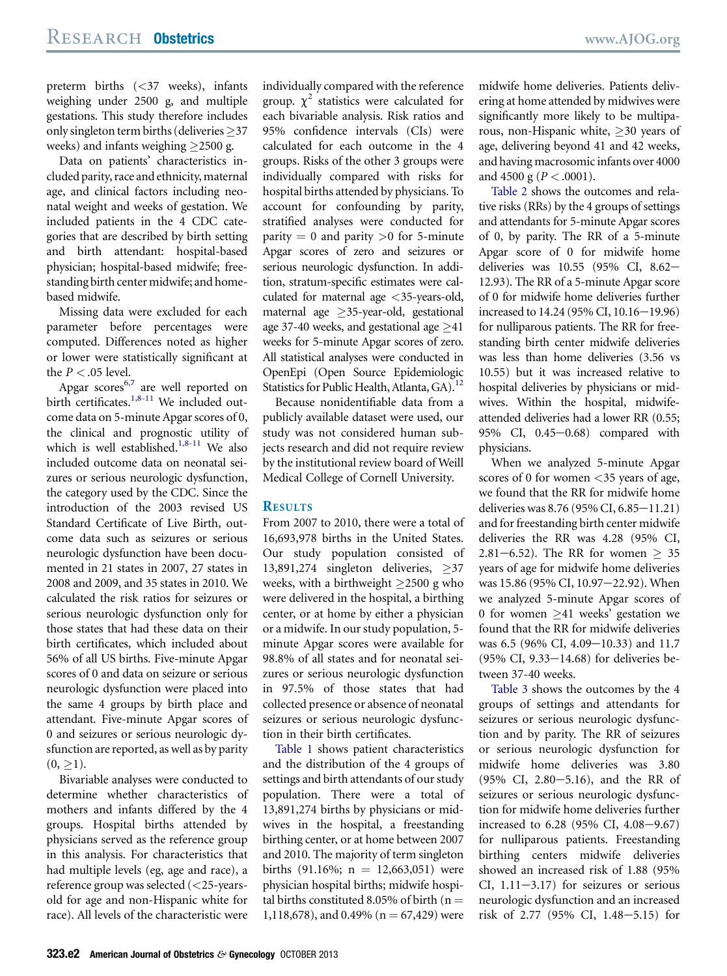preterm births (<37 weeks), infants weighing under 2500 g, and multiple gestations. This study therefore includes only singleton term births (deliveries  $\geq$ 37 weeks) and infants weighing  $>$ 2500 g.

Data on patients' characteristics included parity, race and ethnicity, maternal age, and clinical factors including neonatal weight and weeks of gestation. We included patients in the 4 CDC categories that are described by birth setting and birth attendant: hospital-based physician; hospital-based midwife; freestanding birth center midwife; and homebased midwife.

Missing data were excluded for each parameter before percentages were computed. Differences noted as higher or lower were statistically significant at the  $P < .05$  level.

Apgar scores<sup>6,7</sup> are well reported on birth certificates.<sup>[1,8-11](#page-4-0)</sup> We included outcome data on 5-minute Apgar scores of 0, the clinical and prognostic utility of which is well established. $1,8-11$  We also included outcome data on neonatal seizures or serious neurologic dysfunction, the category used by the CDC. Since the introduction of the 2003 revised US Standard Certificate of Live Birth, outcome data such as seizures or serious neurologic dysfunction have been documented in 21 states in 2007, 27 states in 2008 and 2009, and 35 states in 2010. We calculated the risk ratios for seizures or serious neurologic dysfunction only for those states that had these data on their birth certificates, which included about 56% of all US births. Five-minute Apgar scores of 0 and data on seizure or serious neurologic dysfunction were placed into the same 4 groups by birth place and attendant. Five-minute Apgar scores of 0 and seizures or serious neurologic dysfunction are reported, as well as by parity  $(0, >1).$ 

Bivariable analyses were conducted to determine whether characteristics of mothers and infants differed by the 4 groups. Hospital births attended by physicians served as the reference group in this analysis. For characteristics that had multiple levels (eg, age and race), a reference group was selected (<25-yearsold for age and non-Hispanic white for race). All levels of the characteristic were individually compared with the reference group.  $\chi^2$  statistics were calculated for each bivariable analysis. Risk ratios and 95% confidence intervals (CIs) were calculated for each outcome in the 4 groups. Risks of the other 3 groups were individually compared with risks for hospital births attended by physicians. To account for confounding by parity, stratified analyses were conducted for parity  $= 0$  and parity  $> 0$  for 5-minute Apgar scores of zero and seizures or serious neurologic dysfunction. In addition, stratum-specific estimates were calculated for maternal age <35-years-old, maternal age  $\geq$ 35-year-old, gestational age 37-40 weeks, and gestational age  $\geq$ 41 weeks for 5-minute Apgar scores of zero. All statistical analyses were conducted in OpenEpi (Open Source Epidemiologic Statistics for Public Health, Atlanta,  $GA$ <sup>[12](#page-5-0)</sup>

Because nonidentifiable data from a publicly available dataset were used, our study was not considered human subjects research and did not require review by the institutional review board of Weill Medical College of Cornell University.

## **RESULTS**

From 2007 to 2010, there were a total of 16,693,978 births in the United States. Our study population consisted of 13,891,274 singleton deliveries,  $\geq$ 37 weeks, with a birthweight  $\geq$ 2500 g who were delivered in the hospital, a birthing center, or at home by either a physician or a midwife. In our study population, 5 minute Apgar scores were available for 98.8% of all states and for neonatal seizures or serious neurologic dysfunction in 97.5% of those states that had collected presence or absence of neonatal seizures or serious neurologic dysfunction in their birth certificates.

[Table 1](#page-2-0) shows patient characteristics and the distribution of the 4 groups of settings and birth attendants of our study population. There were a total of 13,891,274 births by physicians or midwives in the hospital, a freestanding birthing center, or at home between 2007 and 2010. The majority of term singleton births (91.16%;  $n = 12,663,051$ ) were physician hospital births; midwife hospital births constituted 8.05% of birth ( $n =$ 1,118,678), and 0.49% ( $n = 67,429$ ) were

midwife home deliveries. Patients delivering at home attended by midwives were significantly more likely to be multiparous, non-Hispanic white,  $\geq$  30 years of age, delivering beyond 41 and 42 weeks, and having macrosomic infants over 4000 and 4500 g ( $P < .0001$ ).

[Table 2](#page-3-0) shows the outcomes and relative risks (RRs) by the 4 groups of settings and attendants for 5-minute Apgar scores of 0, by parity. The RR of a 5-minute Apgar score of 0 for midwife home deliveries was 10.55 (95% CI, 8.62-12.93). The RR of a 5-minute Apgar score of 0 for midwife home deliveries further increased to  $14.24$  (95% CI,  $10.16 - 19.96$ ) for nulliparous patients. The RR for freestanding birth center midwife deliveries was less than home deliveries (3.56 vs 10.55) but it was increased relative to hospital deliveries by physicians or midwives. Within the hospital, midwifeattended deliveries had a lower RR (0.55; 95% CI,  $0.45 - 0.68$ ) compared with physicians.

When we analyzed 5-minute Apgar scores of 0 for women <35 years of age, we found that the RR for midwife home deliveries was  $8.76$  (95% CI,  $6.85-11.21$ ) and for freestanding birth center midwife deliveries the RR was 4.28 (95% CI, 2.81–6.52). The RR for women  $> 35$ years of age for midwife home deliveries was 15.86 (95% CI, 10.97-22.92). When we analyzed 5-minute Apgar scores of 0 for women  $\geq$ 41 weeks' gestation we found that the RR for midwife deliveries was 6.5 (96% CI, 4.09-10.33) and 11.7  $(95\% \text{ CI}, 9.33-14.68)$  for deliveries between 37-40 weeks.

[Table 3](#page-4-0) shows the outcomes by the 4 groups of settings and attendants for seizures or serious neurologic dysfunction and by parity. The RR of seizures or serious neurologic dysfunction for midwife home deliveries was 3.80  $(95\% \text{ CI}, 2.80-5.16)$ , and the RR of seizures or serious neurologic dysfunction for midwife home deliveries further increased to  $6.28$  (95% CI,  $4.08 - 9.67$ ) for nulliparous patients. Freestanding birthing centers midwife deliveries showed an increased risk of 1.88 (95% CI,  $1.11-3.17$ ) for seizures or serious neurologic dysfunction and an increased risk of 2.77 (95% CI, 1.48-5.15) for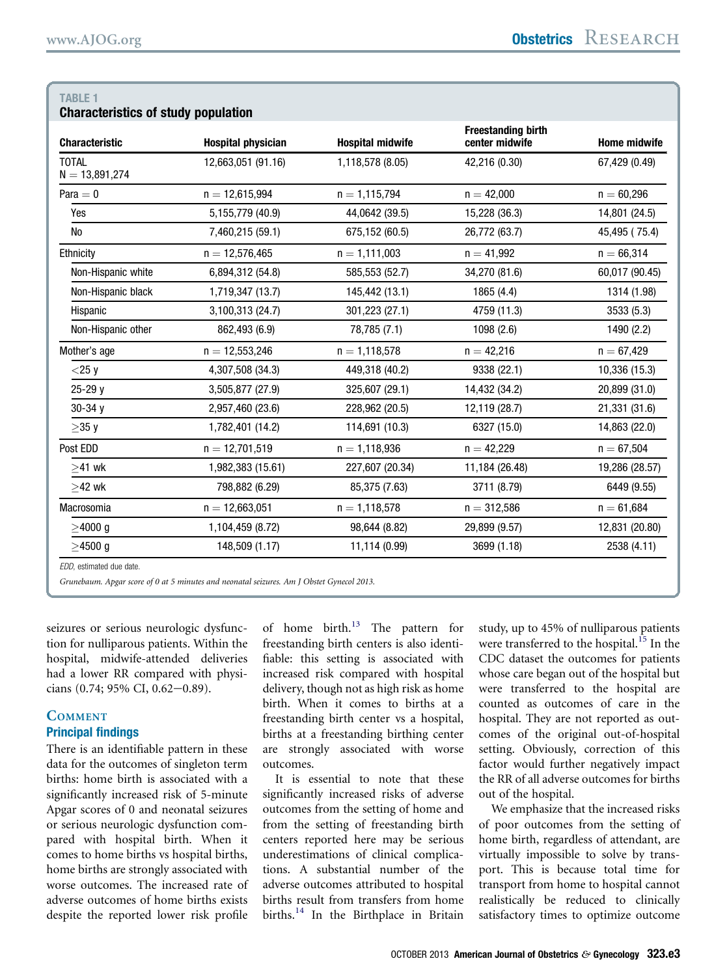<span id="page-2-0"></span>TABLE 1

| <b>Characteristics of study population</b> |                           |                         |                                             |                     |  |  |
|--------------------------------------------|---------------------------|-------------------------|---------------------------------------------|---------------------|--|--|
| <b>Characteristic</b>                      | <b>Hospital physician</b> | <b>Hospital midwife</b> | <b>Freestanding birth</b><br>center midwife | <b>Home midwife</b> |  |  |
| <b>TOTAL</b><br>$N = 13,891,274$           | 12,663,051 (91.16)        | 1,118,578 (8.05)        | 42,216 (0.30)                               | 67,429 (0.49)       |  |  |
| Para $= 0$                                 | $n = 12.615.994$          | $n = 1,115,794$         | $n = 42.000$                                | $n = 60,296$        |  |  |
| Yes                                        | 5,155,779 (40.9)          | 44,0642 (39.5)          | 15,228 (36.3)                               | 14,801 (24.5)       |  |  |
| No                                         | 7,460,215 (59.1)          | 675,152 (60.5)          | 26,772 (63.7)                               | 45,495 (75.4)       |  |  |
| Ethnicity                                  | $n = 12,576,465$          | $n = 1,111,003$         | $n = 41,992$                                | $n = 66,314$        |  |  |
| Non-Hispanic white                         | 6,894,312 (54.8)          | 585,553 (52.7)          | 34,270 (81.6)                               | 60,017 (90.45)      |  |  |
| Non-Hispanic black                         | 1,719,347 (13.7)          | 145,442 (13.1)          | 1865 (4.4)                                  | 1314 (1.98)         |  |  |
| Hispanic                                   | 3,100,313 (24.7)          | 301,223 (27.1)          | 4759 (11.3)                                 | 3533 (5.3)          |  |  |
| Non-Hispanic other                         | 862,493 (6.9)             | 78,785 (7.1)            | 1098 (2.6)                                  | 1490 (2.2)          |  |  |
| Mother's age                               | $n = 12,553,246$          | $n = 1,118,578$         | $n = 42,216$                                | $n = 67,429$        |  |  |
| $<$ 25 y                                   | 4,307,508 (34.3)          | 449,318 (40.2)          | 9338 (22.1)                                 | 10,336 (15.3)       |  |  |
| 25-29 y                                    | 3,505,877 (27.9)          | 325,607 (29.1)          | 14,432 (34.2)                               | 20,899 (31.0)       |  |  |
| $30 - 34y$                                 | 2,957,460 (23.6)          | 228,962 (20.5)          | 12,119 (28.7)                               | 21,331 (31.6)       |  |  |
| $\geq$ 35 y                                | 1,782,401 (14.2)          | 114,691 (10.3)          | 6327 (15.0)                                 | 14,863 (22.0)       |  |  |
| Post EDD                                   | $n = 12,701,519$          | $n = 1,118,936$         | $n = 42,229$                                | $n = 67,504$        |  |  |
| $>41$ wk                                   | 1,982,383 (15.61)         | 227,607 (20.34)         | 11,184 (26.48)                              | 19,286 (28.57)      |  |  |
| $\geq$ 42 wk                               | 798,882 (6.29)            | 85,375 (7.63)           | 3711 (8.79)                                 | 6449 (9.55)         |  |  |
| Macrosomia                                 | $n = 12,663,051$          | $n = 1,118,578$         | $n = 312,586$                               | $n = 61,684$        |  |  |
| $>4000$ q                                  | 1,104,459 (8.72)          | 98,644 (8.82)           | 29,899 (9.57)                               | 12,831 (20.80)      |  |  |
| $>4500$ q                                  | 148,509 (1.17)            | 11,114 (0.99)           | 3699 (1.18)                                 | 2538 (4.11)         |  |  |
| EDD, estimated due date.                   |                           |                         |                                             |                     |  |  |

Grunebaum. Apgar score of 0 at 5 minutes and neonatal seizures. Am J Obstet Gynecol 2013.

seizures or serious neurologic dysfunction for nulliparous patients. Within the hospital, midwife-attended deliveries had a lower RR compared with physicians  $(0.74; 95\% \text{ CI}, 0.62-0.89)$ .

## **COMMENT** Principal findings

There is an identifiable pattern in these data for the outcomes of singleton term births: home birth is associated with a significantly increased risk of 5-minute Apgar scores of 0 and neonatal seizures or serious neurologic dysfunction compared with hospital birth. When it comes to home births vs hospital births, home births are strongly associated with worse outcomes. The increased rate of adverse outcomes of home births exists despite the reported lower risk profile

of home birth.<sup>[13](#page-5-0)</sup> The pattern for freestanding birth centers is also identifiable: this setting is associated with increased risk compared with hospital delivery, though not as high risk as home birth. When it comes to births at a freestanding birth center vs a hospital, births at a freestanding birthing center are strongly associated with worse outcomes.

It is essential to note that these significantly increased risks of adverse outcomes from the setting of home and from the setting of freestanding birth centers reported here may be serious underestimations of clinical complications. A substantial number of the adverse outcomes attributed to hospital births result from transfers from home births.<sup>[14](#page-5-0)</sup> In the Birthplace in Britain

study, up to 45% of nulliparous patients were transferred to the hospital.<sup>[15](#page-5-0)</sup> In the CDC dataset the outcomes for patients whose care began out of the hospital but were transferred to the hospital are counted as outcomes of care in the hospital. They are not reported as outcomes of the original out-of-hospital setting. Obviously, correction of this factor would further negatively impact the RR of all adverse outcomes for births out of the hospital.

We emphasize that the increased risks of poor outcomes from the setting of home birth, regardless of attendant, are virtually impossible to solve by transport. This is because total time for transport from home to hospital cannot realistically be reduced to clinically satisfactory times to optimize outcome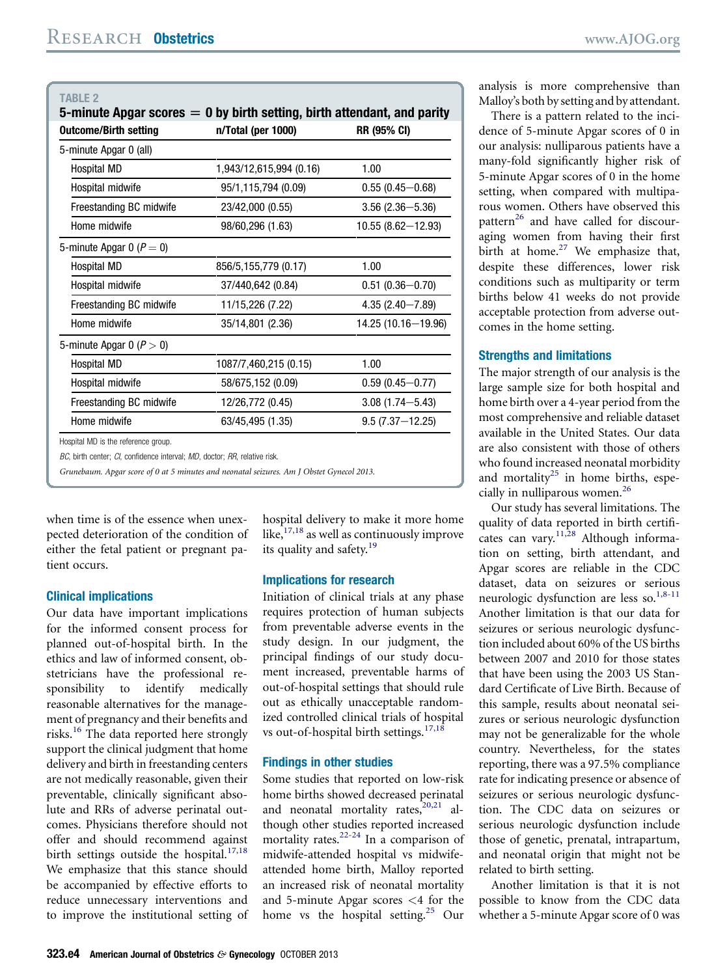<span id="page-3-0"></span>

| <b>TABLE 2</b><br>5-minute Apgar scores $= 0$ by birth setting, birth attendant, and parity |                         |                       |  |  |  |
|---------------------------------------------------------------------------------------------|-------------------------|-----------------------|--|--|--|
| <b>Outcome/Birth setting</b>                                                                | n/Total (per 1000)      | <b>RR (95% CI)</b>    |  |  |  |
| 5-minute Apgar 0 (all)                                                                      |                         |                       |  |  |  |
| Hospital MD                                                                                 | 1,943/12,615,994 (0.16) | 1.00                  |  |  |  |
| Hospital midwife                                                                            | 95/1,115,794 (0.09)     | $0.55(0.45 - 0.68)$   |  |  |  |
| Freestanding BC midwife                                                                     | 23/42,000 (0.55)        | $3.56(2.36 - 5.36)$   |  |  |  |
| Home midwife                                                                                | 98/60,296 (1.63)        | $10.55(8.62 - 12.93)$ |  |  |  |
| 5-minute Apgar 0 ( $P = 0$ )                                                                |                         |                       |  |  |  |
| Hospital MD                                                                                 | 856/5,155,779 (0.17)    | 1.00                  |  |  |  |
| Hospital midwife                                                                            | 37/440,642 (0.84)       | $0.51(0.36 - 0.70)$   |  |  |  |
| Freestanding BC midwife                                                                     | 11/15,226 (7.22)        | $4.35(2.40 - 7.89)$   |  |  |  |
| Home midwife                                                                                | 35/14,801 (2.36)        | 14.25 (10.16-19.96)   |  |  |  |
| 5-minute Apgar 0 ( $P > 0$ )                                                                |                         |                       |  |  |  |
| Hospital MD                                                                                 | 1087/7,460,215 (0.15)   | 1.00                  |  |  |  |
| Hospital midwife                                                                            | 58/675,152 (0.09)       | $0.59(0.45 - 0.77)$   |  |  |  |
| Freestanding BC midwife                                                                     | 12/26,772 (0.45)        | $3.08(1.74 - 5.43)$   |  |  |  |
| Home midwife                                                                                | 63/45,495 (1.35)        | $9.5(7.37 - 12.25)$   |  |  |  |
| Hospital MD is the reference group.                                                         |                         |                       |  |  |  |

BC, birth center; CI, confidence interval; MD, doctor; RR, relative risk.

Grunebaum. Apgar score of 0 at 5 minutes and neonatal seizures. Am J Obstet Gynecol 2013.

when time is of the essence when unexpected deterioration of the condition of either the fetal patient or pregnant patient occurs.

### Clinical implications

Our data have important implications for the informed consent process for planned out-of-hospital birth. In the ethics and law of informed consent, obstetricians have the professional responsibility to identify medically reasonable alternatives for the management of pregnancy and their benefits and risks.<sup>[16](#page-5-0)</sup> The data reported here strongly support the clinical judgment that home delivery and birth in freestanding centers are not medically reasonable, given their preventable, clinically significant absolute and RRs of adverse perinatal outcomes. Physicians therefore should not offer and should recommend against birth settings outside the hospital.<sup>[17,18](#page-5-0)</sup> We emphasize that this stance should be accompanied by effective efforts to reduce unnecessary interventions and to improve the institutional setting of hospital delivery to make it more home like,  $17,18$  as well as continuously improve its quality and safety.<sup>[19](#page-5-0)</sup>

#### Implications for research

Initiation of clinical trials at any phase requires protection of human subjects from preventable adverse events in the study design. In our judgment, the principal findings of our study document increased, preventable harms of out-of-hospital settings that should rule out as ethically unacceptable randomized controlled clinical trials of hospital vs out-of-hospital birth settings. $17,18$ 

## Findings in other studies

Some studies that reported on low-risk home births showed decreased perinatal and neonatal mortality rates, $20,21$  although other studies reported increased mortality rates.<sup>22-24</sup> In a comparison of midwife-attended hospital vs midwifeattended home birth, Malloy reported an increased risk of neonatal mortality and 5-minute Apgar scores <4 for the home vs the hospital setting.<sup>[25](#page-5-0)</sup> Our

analysis is more comprehensive than Malloy's both by setting and by attendant.

There is a pattern related to the incidence of 5-minute Apgar scores of 0 in our analysis: nulliparous patients have a many-fold significantly higher risk of 5-minute Apgar scores of 0 in the home setting, when compared with multiparous women. Others have observed this pattern<sup>[26](#page-5-0)</sup> and have called for discouraging women from having their first birth at home.<sup>[27](#page-5-0)</sup> We emphasize that, despite these differences, lower risk conditions such as multiparity or term births below 41 weeks do not provide acceptable protection from adverse outcomes in the home setting.

## Strengths and limitations

The major strength of our analysis is the large sample size for both hospital and home birth over a 4-year period from the most comprehensive and reliable dataset available in the United States. Our data are also consistent with those of others who found increased neonatal morbidity and mortality<sup>[25](#page-5-0)</sup> in home births, especially in nulliparous women.<sup>26</sup>

Our study has several limitations. The quality of data reported in birth certifi-cates can vary.<sup>[11,28](#page-4-0)</sup> Although information on setting, birth attendant, and Apgar scores are reliable in the CDC dataset, data on seizures or serious neurologic dysfunction are less so.<sup>[1,8-11](#page-4-0)</sup> Another limitation is that our data for seizures or serious neurologic dysfunction included about 60% of the US births between 2007 and 2010 for those states that have been using the 2003 US Standard Certificate of Live Birth. Because of this sample, results about neonatal seizures or serious neurologic dysfunction may not be generalizable for the whole country. Nevertheless, for the states reporting, there was a 97.5% compliance rate for indicating presence or absence of seizures or serious neurologic dysfunction. The CDC data on seizures or serious neurologic dysfunction include those of genetic, prenatal, intrapartum, and neonatal origin that might not be related to birth setting.

Another limitation is that it is not possible to know from the CDC data whether a 5-minute Apgar score of 0 was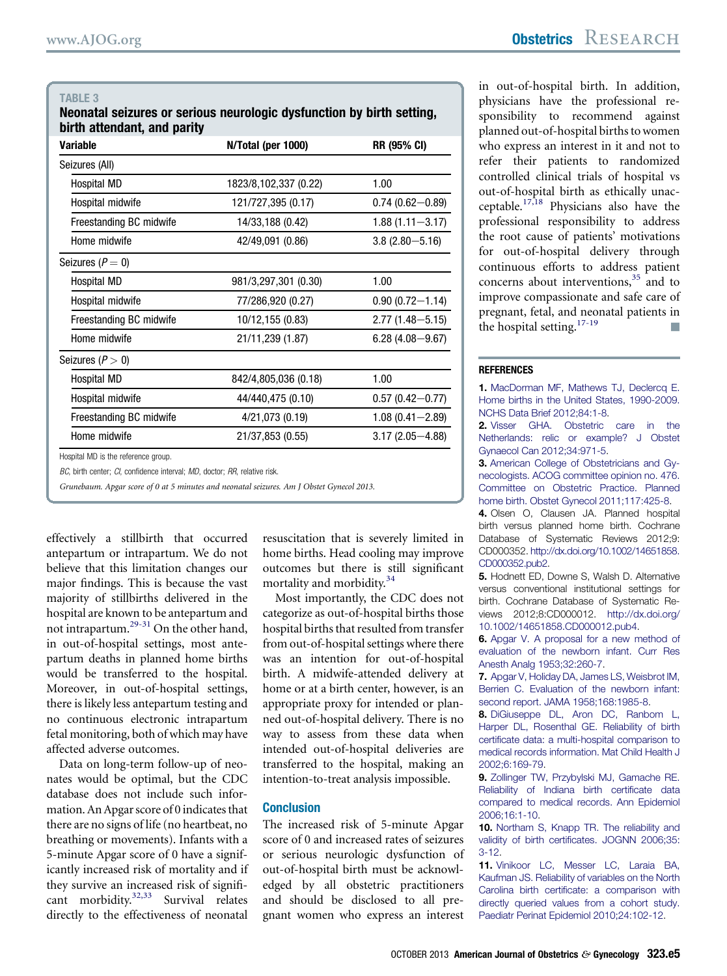## <span id="page-4-0"></span>TABI F 3

Neonatal seizures or serious neurologic dysfunction by birth setting, birth attendant, and parity

| Variable                | N/Total (per 1000)    | <b>RR (95% CI)</b>  |
|-------------------------|-----------------------|---------------------|
| Seizures (All)          |                       |                     |
| Hospital MD             | 1823/8,102,337 (0.22) | 1.00                |
| Hospital midwife        | 121/727,395 (0.17)    | $0.74(0.62 - 0.89)$ |
| Freestanding BC midwife | 14/33,188 (0.42)      | $1.88(1.11 - 3.17)$ |
| Home midwife            | 42/49,091 (0.86)      | $3.8(2.80 - 5.16)$  |
| Seizures ( $P = 0$ )    |                       |                     |
| Hospital MD             | 981/3,297,301 (0.30)  | 1.00                |
| Hospital midwife        | 77/286,920 (0.27)     | $0.90(0.72 - 1.14)$ |
| Freestanding BC midwife | 10/12,155 (0.83)      | $2.77(1.48 - 5.15)$ |
| Home midwife            | 21/11,239 (1.87)      | $6.28(4.08 - 9.67)$ |
| Seizures ( $P > 0$ )    |                       |                     |
| Hospital MD             | 842/4,805,036 (0.18)  | 1.00                |
| Hospital midwife        | 44/440,475 (0.10)     | $0.57(0.42 - 0.77)$ |
| Freestanding BC midwife | 4/21,073 (0.19)       | $1.08(0.41 - 2.89)$ |
| Home midwife            | 21/37,853 (0.55)      | $3.17(2.05 - 4.88)$ |
|                         |                       |                     |

Hospital MD is the reference group.

BC, birth center; CI, confidence interval; MD, doctor; RR, relative risk.

Grunebaum. Apgar score of 0 at 5 minutes and neonatal seizures. Am J Obstet Gynecol 2013.

effectively a stillbirth that occurred antepartum or intrapartum. We do not believe that this limitation changes our major findings. This is because the vast majority of stillbirths delivered in the hospital are known to be antepartum and not intrapartum.[29-31](#page-5-0) On the other hand, in out-of-hospital settings, most antepartum deaths in planned home births would be transferred to the hospital. Moreover, in out-of-hospital settings, there is likely less antepartum testing and no continuous electronic intrapartum fetal monitoring, both of which may have affected adverse outcomes.

Data on long-term follow-up of neonates would be optimal, but the CDC database does not include such information. An Apgar score of 0 indicates that there are no signs of life (no heartbeat, no breathing or movements). Infants with a 5-minute Apgar score of 0 have a significantly increased risk of mortality and if they survive an increased risk of significant morbidity. $32,33$  Survival relates directly to the effectiveness of neonatal

resuscitation that is severely limited in home births. Head cooling may improve outcomes but there is still significant mortality and morbidity.<sup>[34](#page-5-0)</sup>

Most importantly, the CDC does not categorize as out-of-hospital births those hospital births that resulted from transfer from out-of-hospital settings where there was an intention for out-of-hospital birth. A midwife-attended delivery at home or at a birth center, however, is an appropriate proxy for intended or planned out-of-hospital delivery. There is no way to assess from these data when intended out-of-hospital deliveries are transferred to the hospital, making an intention-to-treat analysis impossible.

## **Conclusion**

The increased risk of 5-minute Apgar score of 0 and increased rates of seizures or serious neurologic dysfunction of out-of-hospital birth must be acknowledged by all obstetric practitioners and should be disclosed to all pregnant women who express an interest

in out-of-hospital birth. In addition, physicians have the professional responsibility to recommend against planned out-of-hospital births to women who express an interest in it and not to refer their patients to randomized controlled clinical trials of hospital vs out-of-hospital birth as ethically unac-ceptable.<sup>[17,18](#page-5-0)</sup> Physicians also have the professional responsibility to address the root cause of patients' motivations for out-of-hospital delivery through continuous efforts to address patient concerns about interventions,<sup>[35](#page-5-0)</sup> and to improve compassionate and safe care of pregnant, fetal, and neonatal patients in the hospital setting. $17-19$ 

#### **REFERENCES**

1. [MacDorman MF, Mathews TJ, Declercq E.](http://refhub.elsevier.com/S0002-9378(13)00641-8/sref1) [Home births in the United States, 1990-2009.](http://refhub.elsevier.com/S0002-9378(13)00641-8/sref1) [NCHS Data Brief 2012;84:1-8.](http://refhub.elsevier.com/S0002-9378(13)00641-8/sref1)

2. [Visser GHA. Obstetric care in the](http://refhub.elsevier.com/S0002-9378(13)00641-8/sref2) [Netherlands: relic or example? J Obstet](http://refhub.elsevier.com/S0002-9378(13)00641-8/sref2) [Gynaecol Can 2012;34:971-5](http://refhub.elsevier.com/S0002-9378(13)00641-8/sref2).

3[.](http://refhub.elsevier.com/S0002-9378(13)00641-8/sref3) [American College of Obstetricians and Gy](http://refhub.elsevier.com/S0002-9378(13)00641-8/sref3)[necologists. ACOG committee opinion no. 476.](http://refhub.elsevier.com/S0002-9378(13)00641-8/sref3) [Committee on Obstetric Practice. Planned](http://refhub.elsevier.com/S0002-9378(13)00641-8/sref3) [home birth. Obstet Gynecol 2011;117:425-8.](http://refhub.elsevier.com/S0002-9378(13)00641-8/sref3)

4. Olsen O, Clausen JA. Planned hospital birth versus planned home birth. Cochrane Database of Systematic Reviews 2012;9: CD000352. [http://dx.doi.org/10.1002/14651858.](http://dx.doi.org/10.1002/14651858.CD000352.pub2) [CD000352.pub2.](http://dx.doi.org/10.1002/14651858.CD000352.pub2)

5. Hodnett ED, Downe S, Walsh D. Alternative versus conventional institutional settings for birth. Cochrane Database of Systematic Reviews 2012;8:CD000012. [http://dx.doi.org/](http://dx.doi.org/10.1002/14651858.CD000012.pub4) [10.1002/14651858.CD000012.pub4.](http://dx.doi.org/10.1002/14651858.CD000012.pub4)

6. [Apgar V. A proposal for a new method of](http://refhub.elsevier.com/S0002-9378(13)00641-8/sref6) [evaluation of the newborn infant. Curr Res](http://refhub.elsevier.com/S0002-9378(13)00641-8/sref6) [Anesth Analg 1953;32:260-7.](http://refhub.elsevier.com/S0002-9378(13)00641-8/sref6)

7. [Apgar V, Holiday DA, James LS, Weisbrot IM,](http://refhub.elsevier.com/S0002-9378(13)00641-8/sref7) [Berrien C. Evaluation of the newborn infant:](http://refhub.elsevier.com/S0002-9378(13)00641-8/sref7) [second report. JAMA 1958;168:1985-8.](http://refhub.elsevier.com/S0002-9378(13)00641-8/sref7)

8. [DiGiuseppe DL, Aron DC, Ranbom L,](http://refhub.elsevier.com/S0002-9378(13)00641-8/sref8) [Harper DL, Rosenthal GE. Reliability of birth](http://refhub.elsevier.com/S0002-9378(13)00641-8/sref8) certifi[cate data: a multi-hospital comparison to](http://refhub.elsevier.com/S0002-9378(13)00641-8/sref8) [medical records information. Mat Child Health J](http://refhub.elsevier.com/S0002-9378(13)00641-8/sref8) [2002;6:169-79.](http://refhub.elsevier.com/S0002-9378(13)00641-8/sref8)

9. [Zollinger TW, Przybylski MJ, Gamache RE.](http://refhub.elsevier.com/S0002-9378(13)00641-8/sref9) [Reliability of Indiana birth certi](http://refhub.elsevier.com/S0002-9378(13)00641-8/sref9)ficate data [compared to medical records. Ann Epidemiol](http://refhub.elsevier.com/S0002-9378(13)00641-8/sref9) [2006;16:1-10](http://refhub.elsevier.com/S0002-9378(13)00641-8/sref9).

10. [Northam S, Knapp TR. The reliability and](http://refhub.elsevier.com/S0002-9378(13)00641-8/sref10) validity of birth certifi[cates. JOGNN 2006;35:](http://refhub.elsevier.com/S0002-9378(13)00641-8/sref10) [3-12.](http://refhub.elsevier.com/S0002-9378(13)00641-8/sref10)

11. [Vinikoor LC, Messer LC, Laraia BA,](http://refhub.elsevier.com/S0002-9378(13)00641-8/sref11) [Kaufman JS. Reliability of variables on the North](http://refhub.elsevier.com/S0002-9378(13)00641-8/sref11) Carolina birth certifi[cate: a comparison with](http://refhub.elsevier.com/S0002-9378(13)00641-8/sref11) [directly queried values from a cohort study.](http://refhub.elsevier.com/S0002-9378(13)00641-8/sref11) [Paediatr Perinat Epidemiol 2010;24:102-12.](http://refhub.elsevier.com/S0002-9378(13)00641-8/sref11)